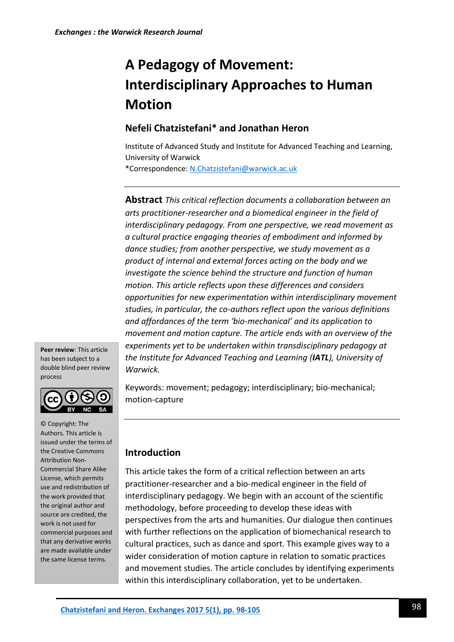# **A Pedagogy of Movement: Interdisciplinary Approaches to Human Motion**

### **Nefeli Chatzistefani\* and Jonathan Heron**

Institute of Advanced Study and Institute for Advanced Teaching and Learning, University of Warwick

\*Correspondence[: N.Chatzistefani@warwick.ac.uk](mailto:N.Chatzistefani@warwick.ac.uk)

**Abstract** *This critical reflection documents a collaboration between an arts practitioner-researcher and a biomedical engineer in the field of interdisciplinary pedagogy. From one perspective, we read movement as a cultural practice engaging theories of embodiment and informed by dance studies; from another perspective, we study movement as a product of internal and external forces acting on the body and we investigate the science behind the structure and function of human motion. This article reflects upon these differences and considers opportunities for new experimentation within interdisciplinary movement studies, in particular, the co-authors reflect upon the various definitions and affordances of the term 'bio-mechanical' and its application to movement and motion capture. The article ends with an overview of the experiments yet to be undertaken within transdisciplinary pedagogy at the Institute for Advanced Teaching and Learning (IATL), University of Warwick.*

**Peer review**: This article has been subject to a double blind peer review process



© Copyright: The Authors. This article is issued under the terms of the Creative Commons Attribution Non-Commercial Share Alike License, which permits use and redistribution of the work provided that the original author and source are credited, the work is not used for commercial purposes and that any derivative works are made available under the same license terms.

Keywords: movement; pedagogy; interdisciplinary; bio-mechanical; motion-capture

## **Introduction**

This article takes the form of a critical reflection between an arts practitioner-researcher and a bio-medical engineer in the field of interdisciplinary pedagogy. We begin with an account of the scientific methodology, before proceeding to develop these ideas with perspectives from the arts and humanities. Our dialogue then continues with further reflections on the application of biomechanical research to cultural practices, such as dance and sport. This example gives way to a wider consideration of motion capture in relation to somatic practices and movement studies. The article concludes by identifying experiments within this interdisciplinary collaboration, yet to be undertaken.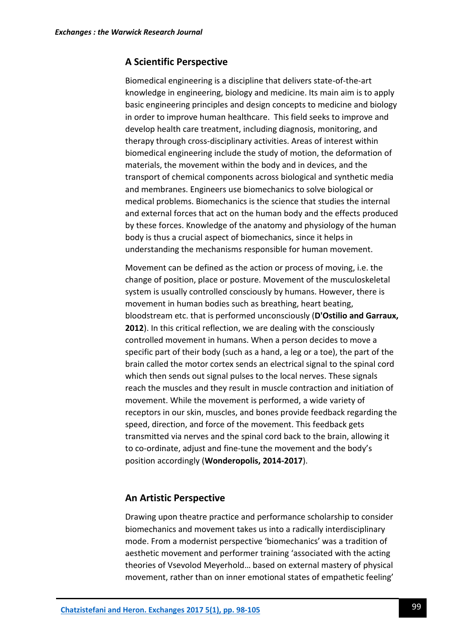#### **A Scientific Perspective**

Biomedical engineering is a discipline that delivers state-of-the-art knowledge in engineering, biology and medicine. Its main aim is to apply basic engineering principles and design concepts to medicine and biology in order to improve human healthcare. This field seeks to improve and develop health care treatment, including diagnosis, monitoring, and therapy through cross-disciplinary activities. Areas of interest within biomedical engineering include the study of motion, the deformation of materials, the movement within the body and in devices, and the transport of chemical components across biological and synthetic media and membranes. Engineers use biomechanics to solve biological or medical problems. Biomechanics is the science that studies the internal and external forces that act on the human body and the effects produced by these forces. Knowledge of the anatomy and physiology of the human body is thus a crucial aspect of biomechanics, since it helps in understanding the mechanisms responsible for human movement.

Movement can be defined as the action or process of moving, i.e. the change of position, place or posture. Movement of the musculoskeletal system is usually controlled consciously by humans. However, there is movement in human bodies such as breathing, heart beating, bloodstream etc. that is performed unconsciously (**D'Ostilio and Garraux, 2012**). In this critical reflection, we are dealing with the consciously controlled movement in humans. When a person decides to move a specific part of their body (such as a hand, a leg or a toe), the part of the brain called the motor cortex sends an electrical signal to the spinal cord which then sends out signal pulses to the local nerves. These signals reach the muscles and they result in muscle contraction and initiation of movement. While the movement is performed, a wide variety of receptors in our skin, muscles, and bones provide feedback regarding the speed, direction, and force of the movement. This feedback gets transmitted via nerves and the spinal cord back to the brain, allowing it to co-ordinate, adjust and fine-tune the movement and the body's position accordingly (**Wonderopolis, 2014-2017**).

#### **An Artistic Perspective**

Drawing upon theatre practice and performance scholarship to consider biomechanics and movement takes us into a radically interdisciplinary mode. From a modernist perspective 'biomechanics' was a tradition of aesthetic movement and performer training 'associated with the acting theories of Vsevolod Meyerhold… based on external mastery of physical movement, rather than on inner emotional states of empathetic feeling'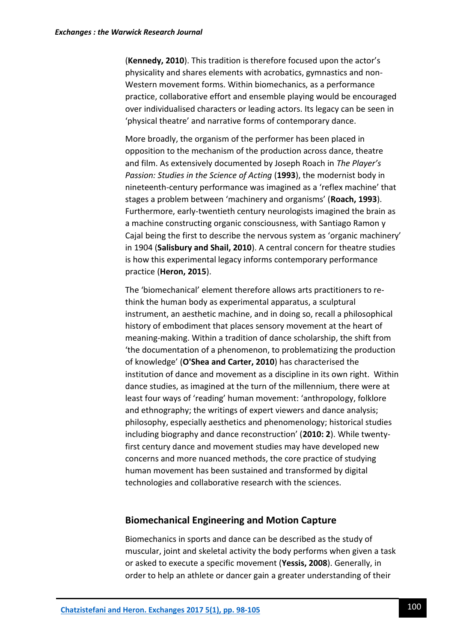(**Kennedy, 2010**). This tradition is therefore focused upon the actor's physicality and shares elements with acrobatics, gymnastics and non-Western movement forms. Within biomechanics, as a performance practice, collaborative effort and ensemble playing would be encouraged over individualised characters or leading actors. Its legacy can be seen in 'physical theatre' and narrative forms of contemporary dance.

More broadly, the organism of the performer has been placed in opposition to the mechanism of the production across dance, theatre and film. As extensively documented by Joseph Roach in *The Player's Passion: Studies in the Science of Acting* (**1993**), the modernist body in nineteenth-century performance was imagined as a 'reflex machine' that stages a problem between 'machinery and organisms' (**Roach, 1993**). Furthermore, early-twentieth century neurologists imagined the brain as a machine constructing organic consciousness, with Santiago Ramon y Cajal being the first to describe the nervous system as 'organic machinery' in 1904 (**Salisbury and Shail, 2010**). A central concern for theatre studies is how this experimental legacy informs contemporary performance practice (**Heron, 2015**).

The 'biomechanical' element therefore allows arts practitioners to rethink the human body as experimental apparatus, a sculptural instrument, an aesthetic machine, and in doing so, recall a philosophical history of embodiment that places sensory movement at the heart of meaning-making. Within a tradition of dance scholarship, the shift from 'the documentation of a phenomenon, to problematizing the production of knowledge' (**O'Shea and Carter, 2010**) has characterised the institution of dance and movement as a discipline in its own right. Within dance studies, as imagined at the turn of the millennium, there were at least four ways of 'reading' human movement: 'anthropology, folklore and ethnography; the writings of expert viewers and dance analysis; philosophy, especially aesthetics and phenomenology; historical studies including biography and dance reconstruction' (**2010: 2**). While twentyfirst century dance and movement studies may have developed new concerns and more nuanced methods, the core practice of studying human movement has been sustained and transformed by digital technologies and collaborative research with the sciences.

#### **Biomechanical Engineering and Motion Capture**

Biomechanics in sports and dance can be described as the study of muscular, joint and skeletal activity the body performs when given a task or asked to execute a specific movement (**Yessis, 2008**). Generally, in order to help an athlete or dancer gain a greater understanding of their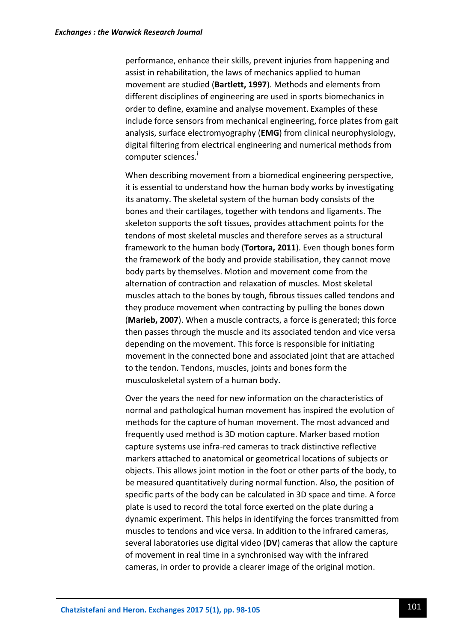performance, enhance their skills, prevent injuries from happening and assist in rehabilitation, the laws of mechanics applied to human movement are studied (**Bartlett, 1997**). Methods and elements from different disciplines of engineering are used in sports biomechanics in order to define, examine and analyse movement. Examples of these include force sensors from mechanical engineering, force plates from gait analysis, surface electromyography (**EMG**) from clinical neurophysiology, digital filtering from electrical engineering and numerical methods from computer sciences.<sup>1</sup>

When describing movement from a biomedical engineering perspective, it is essential to understand how the human body works by investigating its anatomy. The skeletal system of the human body consists of the bones and their cartilages, together with tendons and ligaments. The skeleton supports the soft tissues, provides attachment points for the tendons of most skeletal muscles and therefore serves as a structural framework to the human body (**Tortora, 2011**). Even though bones form the framework of the body and provide stabilisation, they cannot move body parts by themselves. Motion and movement come from the alternation of contraction and relaxation of muscles. Most skeletal muscles attach to the bones by tough, fibrous tissues called tendons and they produce movement when contracting by pulling the bones down (**Marieb, 2007**). When a muscle contracts, a force is generated; this force then passes through the muscle and its associated tendon and vice versa depending on the movement. This force is responsible for initiating movement in the connected bone and associated joint that are attached to the tendon. Tendons, muscles, joints and bones form the musculoskeletal system of a human body.

Over the years the need for new information on the characteristics of normal and pathological human movement has inspired the evolution of methods for the capture of human movement. The most advanced and frequently used method is 3D motion capture. Marker based motion capture systems use infra-red cameras to track distinctive reflective markers attached to anatomical or geometrical locations of subjects or objects. This allows joint motion in the foot or other parts of the body, to be measured quantitatively during normal function. Also, the position of specific parts of the body can be calculated in 3D space and time. A force plate is used to record the total force exerted on the plate during a dynamic experiment. This helps in identifying the forces transmitted from muscles to tendons and vice versa. In addition to the infrared cameras, several laboratories use digital video (**DV**) cameras that allow the capture of movement in real time in a synchronised way with the infrared cameras, in order to provide a clearer image of the original motion.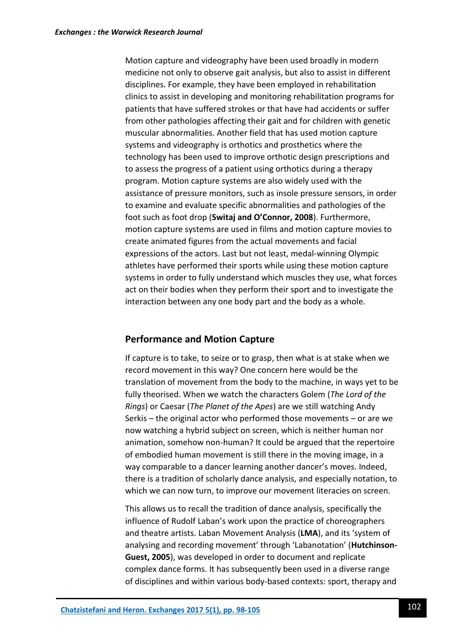Motion capture and videography have been used broadly in modern medicine not only to observe gait analysis, but also to assist in different disciplines. For example, they have been employed in rehabilitation clinics to assist in developing and monitoring rehabilitation programs for patients that have suffered strokes or that have had accidents or suffer from other pathologies affecting their gait and for children with genetic muscular abnormalities. Another field that has used motion capture systems and videography is orthotics and prosthetics where the technology has been used to improve orthotic design prescriptions and to assess the progress of a patient using orthotics during a therapy program. Motion capture systems are also widely used with the assistance of pressure monitors, such as insole pressure sensors, in order to examine and evaluate specific abnormalities and pathologies of the foot such as foot drop (**Switaj and O'Connor, 2008**). Furthermore, motion capture systems are used in films and motion capture movies to create animated figures from the actual movements and facial expressions of the actors. Last but not least, medal-winning Olympic athletes have performed their sports while using these motion capture systems in order to fully understand which muscles they use, what forces act on their bodies when they perform their sport and to investigate the interaction between any one body part and the body as a whole.

#### **Performance and Motion Capture**

If capture is to take, to seize or to grasp, then what is at stake when we record movement in this way? One concern here would be the translation of movement from the body to the machine, in ways yet to be fully theorised. When we watch the characters Golem (*The Lord of the Rings*) or Caesar (*The Planet of the Apes*) are we still watching Andy Serkis – the original actor who performed those movements – or are we now watching a hybrid subject on screen, which is neither human nor animation, somehow non-human? It could be argued that the repertoire of embodied human movement is still there in the moving image, in a way comparable to a dancer learning another dancer's moves. Indeed, there is a tradition of scholarly dance analysis, and especially notation, to which we can now turn, to improve our movement literacies on screen.

This allows us to recall the tradition of dance analysis, specifically the influence of Rudolf Laban's work upon the practice of choreographers and theatre artists. Laban Movement Analysis (**LMA**), and its 'system of analysing and recording movement' through 'Labanotation' (**Hutchinson-Guest, 2005**), was developed in order to document and replicate complex dance forms. It has subsequently been used in a diverse range of disciplines and within various body-based contexts: sport, therapy and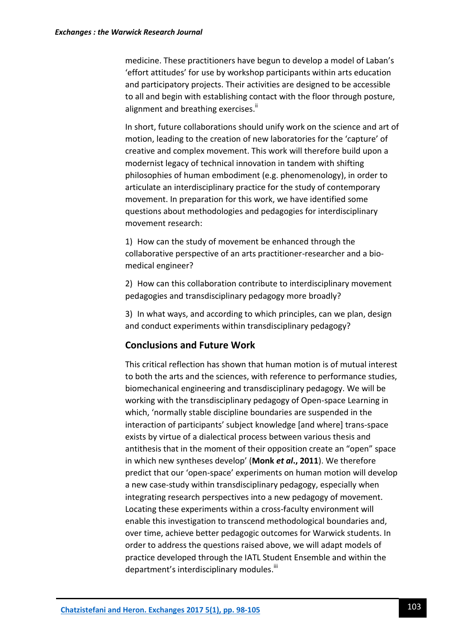medicine. These practitioners have begun to develop a model of Laban's 'effort attitudes' for use by workshop participants within arts education and participatory projects. Their activities are designed to be accessible to all and begin with establishing contact with the floor through posture, alignment and breathing exercises.<sup>"</sup>

In short, future collaborations should unify work on the science and art of motion, leading to the creation of new laboratories for the 'capture' of creative and complex movement. This work will therefore build upon a modernist legacy of technical innovation in tandem with shifting philosophies of human embodiment (e.g. phenomenology), in order to articulate an interdisciplinary practice for the study of contemporary movement. In preparation for this work, we have identified some questions about methodologies and pedagogies for interdisciplinary movement research:

1) How can the study of movement be enhanced through the collaborative perspective of an arts practitioner-researcher and a biomedical engineer?

2) How can this collaboration contribute to interdisciplinary movement pedagogies and transdisciplinary pedagogy more broadly?

3) In what ways, and according to which principles, can we plan, design and conduct experiments within transdisciplinary pedagogy?

#### **Conclusions and Future Work**

This critical reflection has shown that human motion is of mutual interest to both the arts and the sciences, with reference to performance studies, biomechanical engineering and transdisciplinary pedagogy. We will be working with the transdisciplinary pedagogy of Open-space Learning in which, 'normally stable discipline boundaries are suspended in the interaction of participants' subject knowledge [and where] trans-space exists by virtue of a dialectical process between various thesis and antithesis that in the moment of their opposition create an "open" space in which new syntheses develop' (**Monk** *et al***., 2011**). We therefore predict that our 'open-space' experiments on human motion will develop a new case-study within transdisciplinary pedagogy, especially when integrating research perspectives into a new pedagogy of movement. Locating these experiments within a cross-faculty environment will enable this investigation to transcend methodological boundaries and, over time, achieve better pedagogic outcomes for Warwick students. In order to address the questions raised above, we will adapt models of practice developed through the IATL Student Ensemble and within the department's interdisciplinary modules.<sup>iii</sup>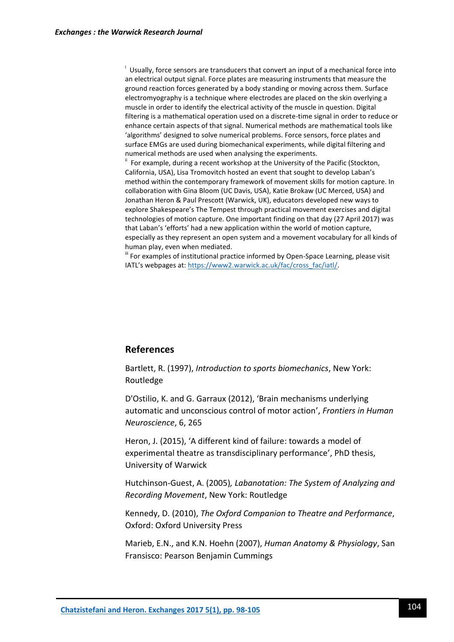<sup>i</sup> Usually, force sensors are transducers that convert an input of a mechanical force into an electrical output signal. Force plates are measuring instruments that measure the ground reaction forces generated by a body standing or moving across them. Surface electromyography is a technique where electrodes are placed on the skin overlying a muscle in order to identify the electrical activity of the muscle in question. Digital filtering is a mathematical operation used on a discrete-time signal in order to reduce or enhance certain aspects of that signal. Numerical methods are mathematical tools like 'algorithms' designed to solve numerical problems. Force sensors, force plates and surface EMGs are used during biomechanical experiments, while digital filtering and numerical methods are used when analysing the experiments.

 $\mathbf{u}$  For example, during a recent workshop at the University of the Pacific (Stockton, California, USA), Lisa Tromovitch hosted an event that sought to develop Laban's method within the contemporary framework of movement skills for motion capture. In collaboration with Gina Bloom (UC Davis, USA), Katie Brokaw (UC Merced, USA) and Jonathan Heron & Paul Prescott (Warwick, UK), educators developed new ways to explore Shakespeare's The Tempest through practical movement exercises and digital technologies of motion capture. One important finding on that day (27 April 2017) was that Laban's 'efforts' had a new application within the world of motion capture, especially as they represent an open system and a movement vocabulary for all kinds of human play, even when mediated.

iii For examples of institutional practice informed by Open-Space Learning, please visit IATL's webpages at: [https://www2.warwick.ac.uk/fac/cross\\_fac/iatl/.](https://www2.warwick.ac.uk/fac/cross_fac/iatl/)

#### **References**

Bartlett, R. (1997), *Introduction to sports biomechanics*, New York: Routledge

D'Ostilio, K. and G. Garraux (2012), 'Brain mechanisms underlying automatic and unconscious control of motor action', *Frontiers in Human Neuroscience*, 6, 265

Heron, J. (2015), 'A different kind of failure: towards a model of experimental theatre as transdisciplinary performance', PhD thesis, University of Warwick

Hutchinson-Guest, A. (2005)*, Labanotation: The System of Analyzing and Recording Movement*, New York: Routledge

Kennedy, D. (2010), *The Oxford Companion to Theatre and Performance*, Oxford: Oxford University Press

Marieb, E.N., and K.N. Hoehn (2007), *Human Anatomy & Physiology*, San Fransisco: Pearson Benjamin Cummings